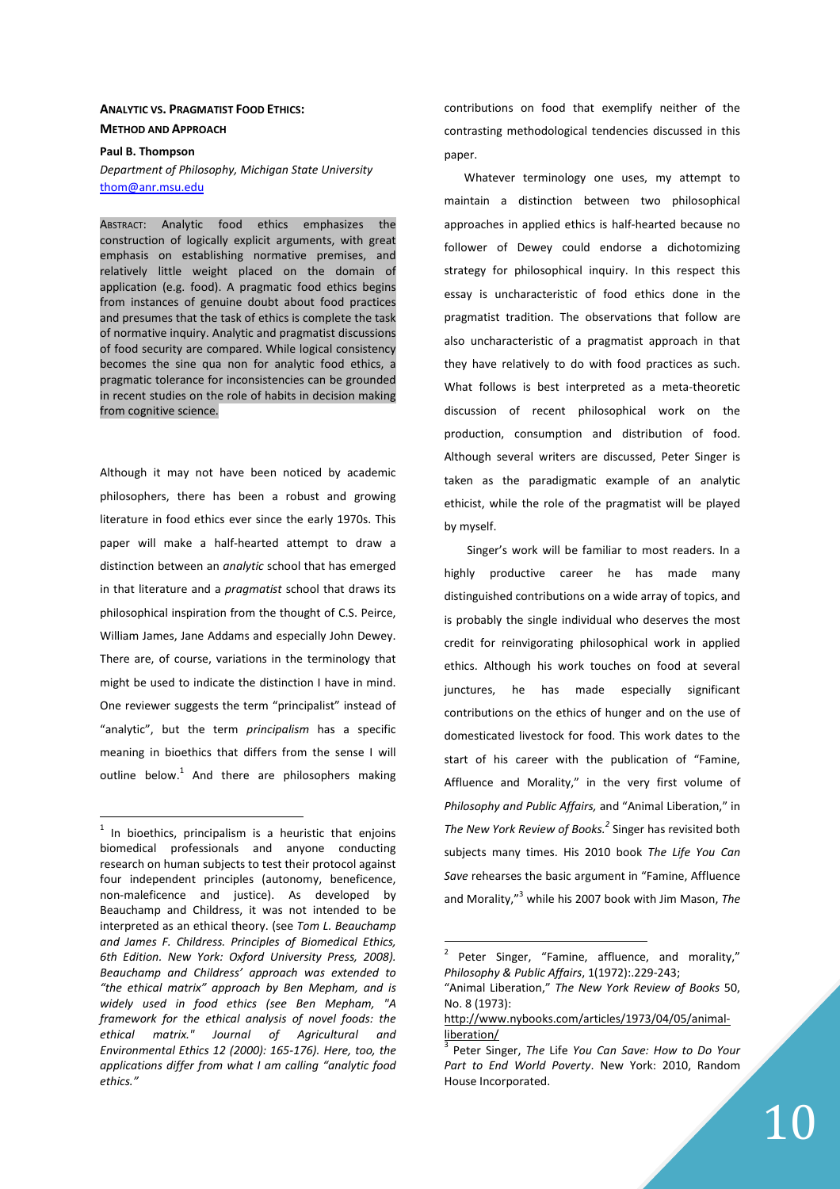## **ANALYTIC VS. PRAGMATIST FOOD ETHICS: METHOD AND APPROACH**

# **Paul B. Thompson**

*Department of Philosophy, Michigan State University* thom@anr.msu.edu

ABSTRACT: Analytic food ethics emphasizes the construction of logically explicit arguments, with great emphasis on establishing normative premises, and relatively little weight placed on the domain of application (e.g. food). A pragmatic food ethics begins from instances of genuine doubt about food practices and presumes that the task of ethics is complete the task of normative inquiry. Analytic and pragmatist discussions of food security are compared. While logical consistency becomes the sine qua non for analytic food ethics, a pragmatic tolerance for inconsistencies can be grounded in recent studies on the role of habits in decision making from cognitive science.

Although it may not have been noticed by academic philosophers, there has been a robust and growing literature in food ethics ever since the early 1970s. This paper will make a half-hearted attempt to draw a distinction between an *analytic* school that has emerged in that literature and a *pragmatist* school that draws its philosophical inspiration from the thought of C.S. Peirce, William James, Jane Addams and especially John Dewey. There are, of course, variations in the terminology that might be used to indicate the distinction I have in mind. One reviewer suggests the term "principalist" instead of "analytic", but the term *principalism* has a specific meaning in bioethics that differs from the sense I will outline below. $1$  And there are philosophers making

 $1$  In bioethics, principalism is a heuristic that enjoins biomedical professionals and anyone conducting research on human subjects to test their protocol against four independent principles (autonomy, beneficence, non-maleficence and justice). As developed by Beauchamp and Childress, it was not intended to be interpreted as an ethical theory. (see *Tom L. Beauchamp and James F. Childress. Principles of Biomedical Ethics, 6th Edition. New York: Oxford University Press, 2008). Beauchamp and Childress' approach was extended to "the ethical matrix" approach by Ben Mepham, and is widely used in food ethics (see Ben Mepham, "A framework for the ethical analysis of novel foods: the ethical matrix." Journal of Agricultural and Environmental Ethics 12 (2000): 165-176). Here, too, the applications differ from what I am calling "analytic food ethics."* 

 $\overline{a}$ 

contributions on food that exemplify neither of the contrasting methodological tendencies discussed in this paper.

Whatever terminology one uses, my attempt to maintain a distinction between two philosophical approaches in applied ethics is half-hearted because no follower of Dewey could endorse a dichotomizing strategy for philosophical inquiry. In this respect this essay is uncharacteristic of food ethics done in the pragmatist tradition. The observations that follow are also uncharacteristic of a pragmatist approach in that they have relatively to do with food practices as such. What follows is best interpreted as a meta-theoretic discussion of recent philosophical work on the production, consumption and distribution of food. Although several writers are discussed, Peter Singer is taken as the paradigmatic example of an analytic ethicist, while the role of the pragmatist will be played by myself.

 Singer's work will be familiar to most readers. In a highly productive career he has made many distinguished contributions on a wide array of topics, and is probably the single individual who deserves the most credit for reinvigorating philosophical work in applied ethics. Although his work touches on food at several junctures, he has made especially significant contributions on the ethics of hunger and on the use of domesticated livestock for food. This work dates to the start of his career with the publication of "Famine, Affluence and Morality," in the very first volume of *Philosophy and Public Affairs,* and "Animal Liberation," in *The New York Review of Books.<sup>2</sup>* Singer has revisited both subjects many times. His 2010 book *The Life You Can Save* rehearses the basic argument in "Famine, Affluence and Morality,"<sup>3</sup> while his 2007 book with Jim Mason, *The* 

<sup>2</sup> Peter Singer, "Famine, affluence, and morality," *Philosophy & Public Affairs*, 1(1972):.229-243;

<sup>&</sup>quot;Animal Liberation," *The New York Review of Books* 50, No. 8 (1973):

http://www.nybooks.com/articles/1973/04/05/animalliberation/

<sup>3</sup> Peter Singer, *The* Life *You Can Save: How to Do Your Part to End World Poverty*. New York: 2010, Random House Incorporated.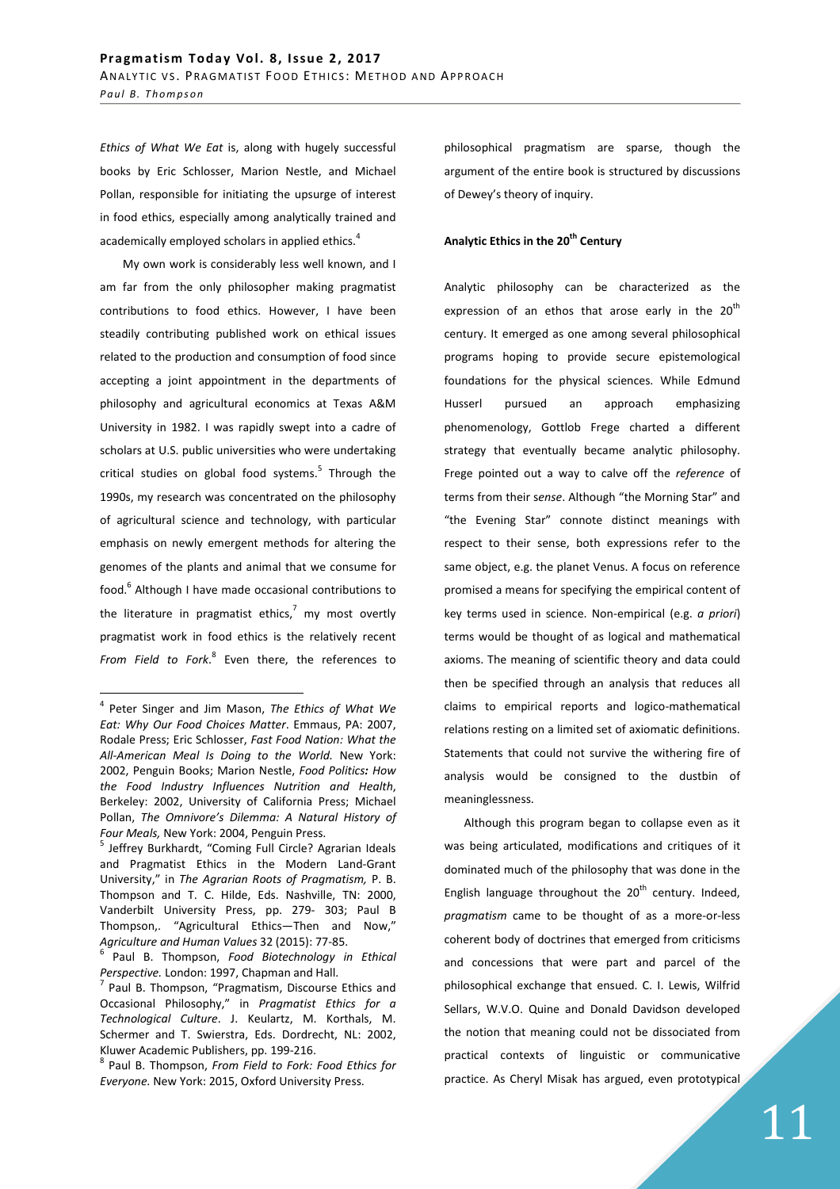*Ethics of What We Eat* is, along with hugely successful books by Eric Schlosser, Marion Nestle, and Michael Pollan, responsible for initiating the upsurge of interest in food ethics, especially among analytically trained and academically employed scholars in applied ethics. $4$ 

 My own work is considerably less well known, and I am far from the only philosopher making pragmatist contributions to food ethics. However, I have been steadily contributing published work on ethical issues related to the production and consumption of food since accepting a joint appointment in the departments of philosophy and agricultural economics at Texas A&M University in 1982. I was rapidly swept into a cadre of scholars at U.S. public universities who were undertaking critical studies on global food systems.<sup>5</sup> Through the 1990s, my research was concentrated on the philosophy of agricultural science and technology, with particular emphasis on newly emergent methods for altering the genomes of the plants and animal that we consume for food.<sup>6</sup> Although I have made occasional contributions to the literature in pragmatist ethics,<sup>7</sup> my most overtly pragmatist work in food ethics is the relatively recent *From Field to Fork*. 8 Even there, the references to

 $\overline{a}$ 

philosophical pragmatism are sparse, though the argument of the entire book is structured by discussions of Dewey's theory of inquiry.

## **Analytic Ethics in the 20th Century**

Analytic philosophy can be characterized as the expression of an ethos that arose early in the  $20<sup>th</sup>$ century. It emerged as one among several philosophical programs hoping to provide secure epistemological foundations for the physical sciences. While Edmund Husserl pursued an approach emphasizing phenomenology, Gottlob Frege charted a different strategy that eventually became analytic philosophy. Frege pointed out a way to calve off the *reference* of terms from their s*ense*. Although "the Morning Star" and "the Evening Star" connote distinct meanings with respect to their sense, both expressions refer to the same object, e.g. the planet Venus. A focus on reference promised a means for specifying the empirical content of key terms used in science. Non-empirical (e.g. *a priori*) terms would be thought of as logical and mathematical axioms. The meaning of scientific theory and data could then be specified through an analysis that reduces all claims to empirical reports and logico-mathematical relations resting on a limited set of axiomatic definitions. Statements that could not survive the withering fire of analysis would be consigned to the dustbin of meaninglessness.

Although this program began to collapse even as it was being articulated, modifications and critiques of it dominated much of the philosophy that was done in the English language throughout the  $20<sup>th</sup>$  century. Indeed, *pragmatism* came to be thought of as a more-or-less coherent body of doctrines that emerged from criticisms and concessions that were part and parcel of the philosophical exchange that ensued. C. I. Lewis, Wilfrid Sellars, W.V.O. Quine and Donald Davidson developed the notion that meaning could not be dissociated from practical contexts of linguistic or communicative practice. As Cheryl Misak has argued, even prototypical

<sup>4</sup> Peter Singer and Jim Mason, *The Ethics of What We Eat: Why Our Food Choices Matter*. Emmaus, PA: 2007, Rodale Press; Eric Schlosser, *Fast Food Nation: What the All-American Meal Is Doing to the World.* New York: 2002, Penguin Books; Marion Nestle, *Food Politics: How the Food Industry Influences Nutrition and Health*, Berkeley: 2002, University of California Press; Michael Pollan, *The Omnivore's Dilemma: A Natural History of Four Meals,* New York: 2004, Penguin Press.

<sup>&</sup>lt;sup>5</sup> Jeffrey Burkhardt, "Coming Full Circle? Agrarian Ideals and Pragmatist Ethics in the Modern Land-Grant University," in *The Agrarian Roots of Pragmatism,* P. B. Thompson and T. C. Hilde, Eds. Nashville, TN: 2000, Vanderbilt University Press, pp. 279- 303; Paul B Thompson,. "Agricultural Ethics—Then and Now," *Agriculture and Human Values* 32 (2015): 77-85.

<sup>6</sup> Paul B. Thompson, *Food Biotechnology in Ethical Perspective.* London: 1997, Chapman and Hall.

<sup>&</sup>lt;sup>7</sup> Paul B. Thompson, "Pragmatism, Discourse Ethics and Occasional Philosophy," in *Pragmatist Ethics for a Technological Culture*. J. Keulartz, M. Korthals, M. Schermer and T. Swierstra, Eds. Dordrecht, NL: 2002, Kluwer Academic Publishers, pp. 199-216.

<sup>8</sup> Paul B. Thompson, *From Field to Fork: Food Ethics for Everyone.* New York: 2015, Oxford University Press.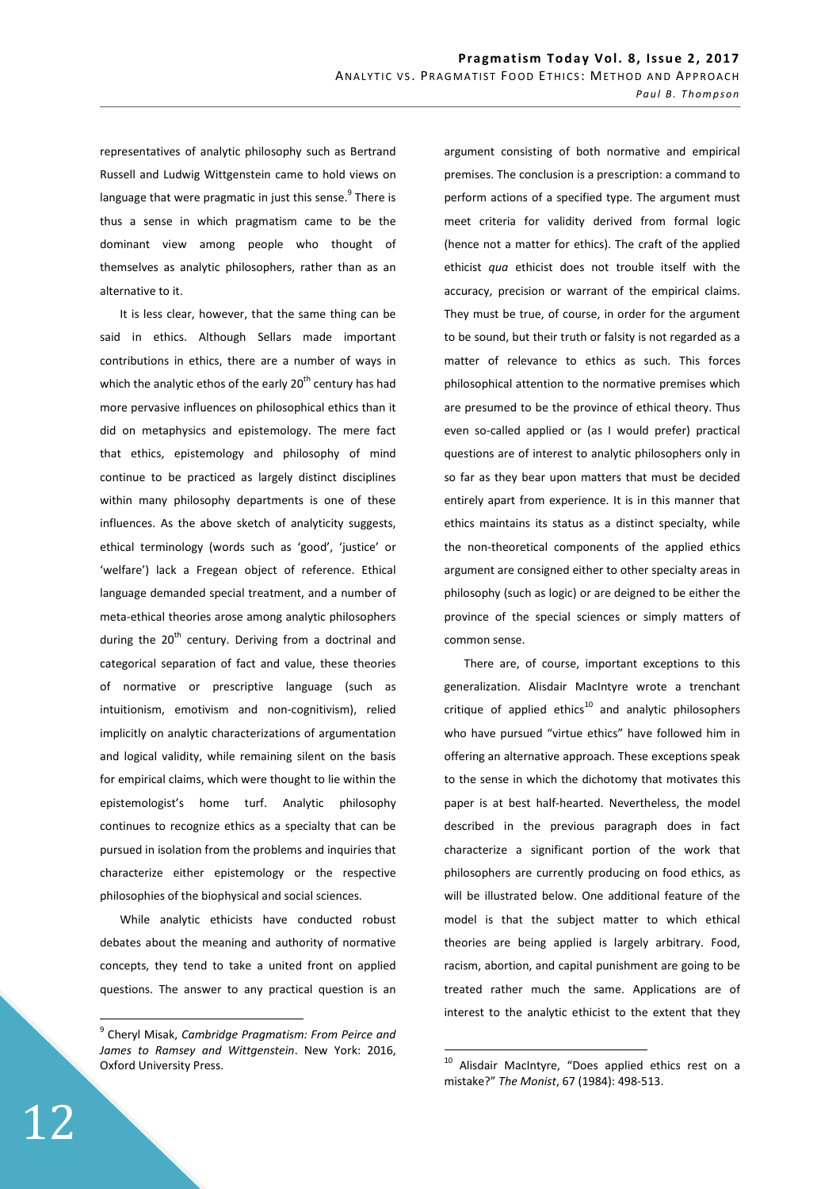representatives of analytic philosophy such as Bertrand Russell and Ludwig Wittgenstein came to hold views on language that were pragmatic in just this sense. $^9$  There is thus a sense in which pragmatism came to be the dominant view among people who thought of themselves as analytic philosophers, rather than as an alternative to it.

It is less clear, however, that the same thing can be said in ethics. Although Sellars made important contributions in ethics, there are a number of ways in which the analytic ethos of the early  $20<sup>th</sup>$  century has had more pervasive influences on philosophical ethics than it did on metaphysics and epistemology. The mere fact that ethics, epistemology and philosophy of mind continue to be practiced as largely distinct disciplines within many philosophy departments is one of these influences. As the above sketch of analyticity suggests, ethical terminology (words such as 'good', 'justice' or 'welfare') lack a Fregean object of reference. Ethical language demanded special treatment, and a number of meta-ethical theories arose among analytic philosophers during the  $20<sup>th</sup>$  century. Deriving from a doctrinal and categorical separation of fact and value, these theories of normative or prescriptive language (such as intuitionism, emotivism and non-cognitivism), relied implicitly on analytic characterizations of argumentation and logical validity, while remaining silent on the basis for empirical claims, which were thought to lie within the epistemologist's home turf. Analytic philosophy continues to recognize ethics as a specialty that can be pursued in isolation from the problems and inquiries that characterize either epistemology or the respective philosophies of the biophysical and social sciences.

While analytic ethicists have conducted robust debates about the meaning and authority of normative concepts, they tend to take a united front on applied questions. The answer to any practical question is an

argument consisting of both normative and empirical premises. The conclusion is a prescription: a command to perform actions of a specified type. The argument must meet criteria for validity derived from formal logic (hence not a matter for ethics). The craft of the applied ethicist *qua* ethicist does not trouble itself with the accuracy, precision or warrant of the empirical claims. They must be true, of course, in order for the argument to be sound, but their truth or falsity is not regarded as a matter of relevance to ethics as such. This forces philosophical attention to the normative premises which are presumed to be the province of ethical theory. Thus even so-called applied or (as I would prefer) practical questions are of interest to analytic philosophers only in so far as they bear upon matters that must be decided entirely apart from experience. It is in this manner that ethics maintains its status as a distinct specialty, while the non-theoretical components of the applied ethics argument are consigned either to other specialty areas in philosophy (such as logic) or are deigned to be either the province of the special sciences or simply matters of common sense.

There are, of course, important exceptions to this generalization. Alisdair MacIntyre wrote a trenchant critique of applied ethics<sup>10</sup> and analytic philosophers who have pursued "virtue ethics" have followed him in offering an alternative approach. These exceptions speak to the sense in which the dichotomy that motivates this paper is at best half-hearted. Nevertheless, the model described in the previous paragraph does in fact characterize a significant portion of the work that philosophers are currently producing on food ethics, as will be illustrated below. One additional feature of the model is that the subject matter to which ethical theories are being applied is largely arbitrary. Food, racism, abortion, and capital punishment are going to be treated rather much the same. Applications are of interest to the analytic ethicist to the extent that they

 $\overline{a}$ 

<sup>9</sup> Cheryl Misak, *Cambridge Pragmatism: From Peirce and James to Ramsey and Wittgenstein*. New York: 2016, Oxford University Press.

 $10$  Alisdair MacIntyre, "Does applied ethics rest on a mistake?" *The Monist*, 67 (1984): 498-513.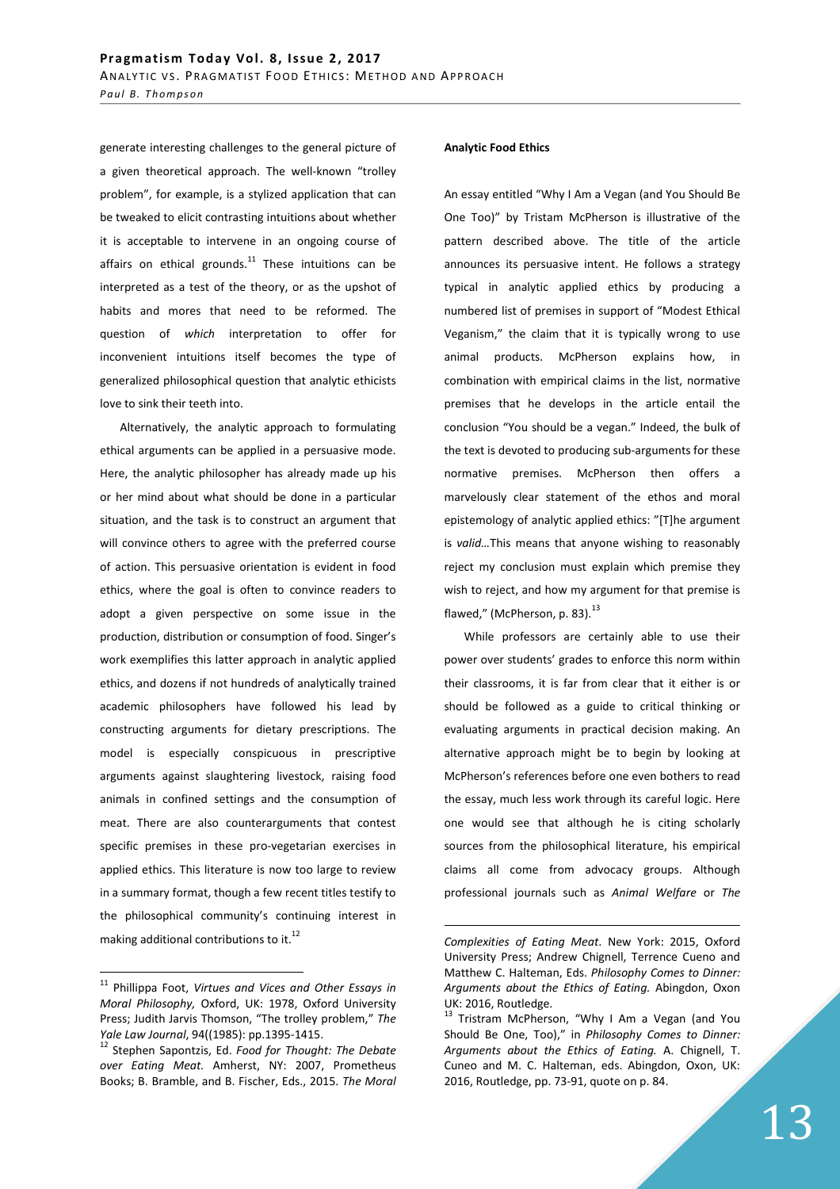generate interesting challenges to the general picture of a given theoretical approach. The well-known "trolley problem", for example, is a stylized application that can be tweaked to elicit contrasting intuitions about whether it is acceptable to intervene in an ongoing course of affairs on ethical grounds. $11$  These intuitions can be interpreted as a test of the theory, or as the upshot of habits and mores that need to be reformed. The question of *which* interpretation to offer for inconvenient intuitions itself becomes the type of generalized philosophical question that analytic ethicists love to sink their teeth into.

Alternatively, the analytic approach to formulating ethical arguments can be applied in a persuasive mode. Here, the analytic philosopher has already made up his or her mind about what should be done in a particular situation, and the task is to construct an argument that will convince others to agree with the preferred course of action. This persuasive orientation is evident in food ethics, where the goal is often to convince readers to adopt a given perspective on some issue in the production, distribution or consumption of food. Singer's work exemplifies this latter approach in analytic applied ethics, and dozens if not hundreds of analytically trained academic philosophers have followed his lead by constructing arguments for dietary prescriptions. The model is especially conspicuous in prescriptive arguments against slaughtering livestock, raising food animals in confined settings and the consumption of meat. There are also counterarguments that contest specific premises in these pro-vegetarian exercises in applied ethics. This literature is now too large to review in a summary format, though a few recent titles testify to the philosophical community's continuing interest in making additional contributions to it. $^{12}$ 

 $\overline{a}$ 

### **Analytic Food Ethics**

An essay entitled "Why I Am a Vegan (and You Should Be One Too)" by Tristam McPherson is illustrative of the pattern described above. The title of the article announces its persuasive intent. He follows a strategy typical in analytic applied ethics by producing a numbered list of premises in support of "Modest Ethical Veganism," the claim that it is typically wrong to use animal products. McPherson explains how, in combination with empirical claims in the list, normative premises that he develops in the article entail the conclusion "You should be a vegan." Indeed, the bulk of the text is devoted to producing sub-arguments for these normative premises. McPherson then offers a marvelously clear statement of the ethos and moral epistemology of analytic applied ethics: "[T]he argument is *valid…*This means that anyone wishing to reasonably reject my conclusion must explain which premise they wish to reject, and how my argument for that premise is flawed," (McPherson, p. 83). $^{13}$ 

While professors are certainly able to use their power over students' grades to enforce this norm within their classrooms, it is far from clear that it either is or should be followed as a guide to critical thinking or evaluating arguments in practical decision making. An alternative approach might be to begin by looking at McPherson's references before one even bothers to read the essay, much less work through its careful logic. Here one would see that although he is citing scholarly sources from the philosophical literature, his empirical claims all come from advocacy groups. Although professional journals such as *Animal Welfare* or *The* 

<sup>11</sup> Phillippa Foot, *Virtues and Vices and Other Essays in Moral Philosophy,* Oxford, UK: 1978, Oxford University Press; Judith Jarvis Thomson, "The trolley problem," *The Yale Law Journal*, 94((1985): pp.1395-1415.

<sup>12</sup> Stephen Sapontzis, Ed. *Food for Thought: The Debate over Eating Meat.* Amherst, NY: 2007, Prometheus Books; B. Bramble, and B. Fischer, Eds., 2015. *The Moral* 

*Complexities of Eating Meat*. New York: 2015, Oxford University Press; Andrew Chignell, Terrence Cueno and Matthew C. Halteman, Eds. *Philosophy Comes to Dinner: Arguments about the Ethics of Eating.* Abingdon, Oxon UK: 2016, Routledge.

 $^{13}$  Tristram McPherson, "Why I Am a Vegan (and You Should Be One, Too)," in *Philosophy Comes to Dinner: Arguments about the Ethics of Eating.* A. Chignell, T. Cuneo and M. C. Halteman, eds. Abingdon, Oxon, UK: 2016, Routledge, pp. 73-91, quote on p. 84.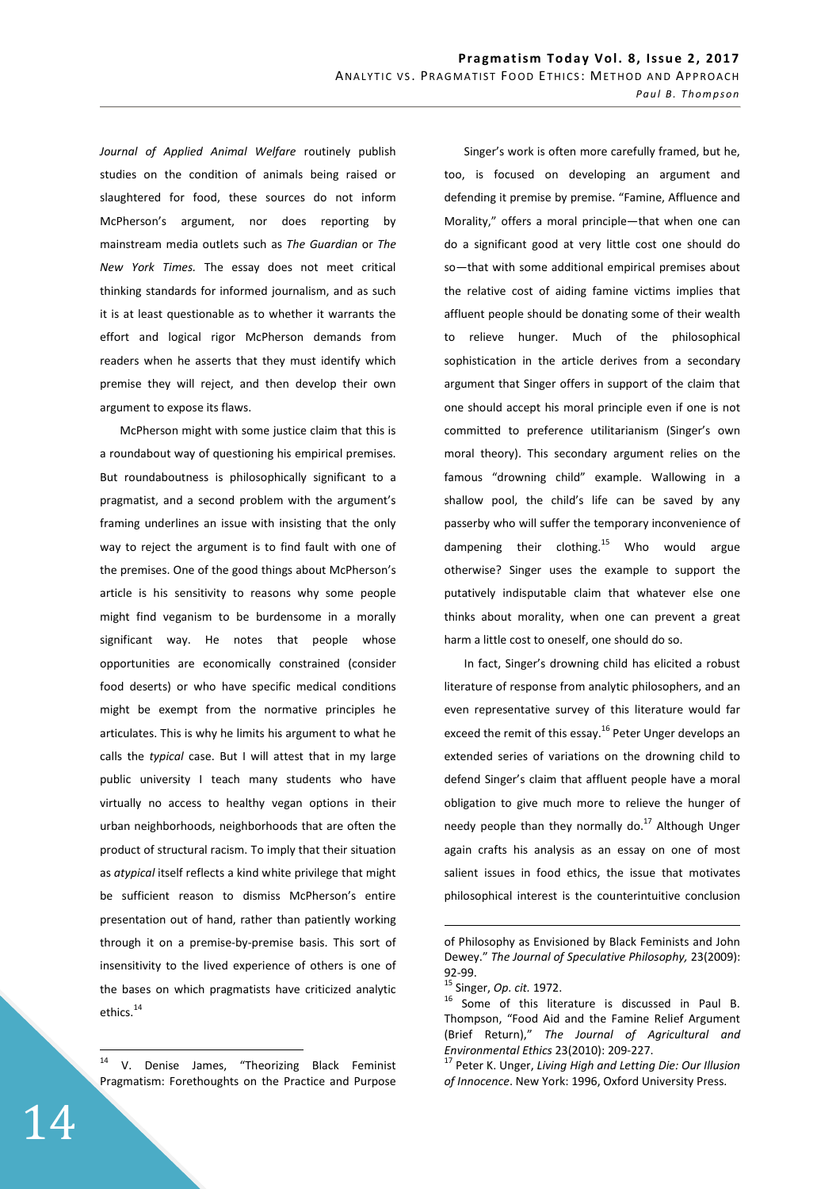*Journal of Applied Animal Welfare* routinely publish studies on the condition of animals being raised or slaughtered for food, these sources do not inform McPherson's argument, nor does reporting by mainstream media outlets such as *The Guardian* or *The New York Times.* The essay does not meet critical thinking standards for informed journalism, and as such it is at least questionable as to whether it warrants the effort and logical rigor McPherson demands from readers when he asserts that they must identify which premise they will reject, and then develop their own argument to expose its flaws.

McPherson might with some justice claim that this is a roundabout way of questioning his empirical premises. But roundaboutness is philosophically significant to a pragmatist, and a second problem with the argument's framing underlines an issue with insisting that the only way to reject the argument is to find fault with one of the premises. One of the good things about McPherson's article is his sensitivity to reasons why some people might find veganism to be burdensome in a morally significant way. He notes that people whose opportunities are economically constrained (consider food deserts) or who have specific medical conditions might be exempt from the normative principles he articulates. This is why he limits his argument to what he calls the *typical* case. But I will attest that in my large public university I teach many students who have virtually no access to healthy vegan options in their urban neighborhoods, neighborhoods that are often the product of structural racism. To imply that their situation as *atypical* itself reflects a kind white privilege that might be sufficient reason to dismiss McPherson's entire presentation out of hand, rather than patiently working through it on a premise-by-premise basis. This sort of insensitivity to the lived experience of others is one of the bases on which pragmatists have criticized analytic ethics.<sup>14</sup>

 $14$ V. Denise James, "Theorizing Black Feminist Pragmatism: Forethoughts on the Practice and Purpose

Singer's work is often more carefully framed, but he, too, is focused on developing an argument and defending it premise by premise. "Famine, Affluence and Morality," offers a moral principle—that when one can do a significant good at very little cost one should do so—that with some additional empirical premises about the relative cost of aiding famine victims implies that affluent people should be donating some of their wealth to relieve hunger. Much of the philosophical sophistication in the article derives from a secondary argument that Singer offers in support of the claim that one should accept his moral principle even if one is not committed to preference utilitarianism (Singer's own moral theory). This secondary argument relies on the famous "drowning child" example. Wallowing in a shallow pool, the child's life can be saved by any passerby who will suffer the temporary inconvenience of dampening their clothing.<sup>15</sup> Who would argue otherwise? Singer uses the example to support the putatively indisputable claim that whatever else one thinks about morality, when one can prevent a great harm a little cost to oneself, one should do so.

In fact, Singer's drowning child has elicited a robust literature of response from analytic philosophers, and an even representative survey of this literature would far exceed the remit of this essay.<sup>16</sup> Peter Unger develops an extended series of variations on the drowning child to defend Singer's claim that affluent people have a moral obligation to give much more to relieve the hunger of needy people than they normally do. $17$  Although Unger again crafts his analysis as an essay on one of most salient issues in food ethics, the issue that motivates philosophical interest is the counterintuitive conclusion

of Philosophy as Envisioned by Black Feminists and John Dewey." *The Journal of Speculative Philosophy,* 23(2009): 92-99.

<sup>15</sup> Singer, *Op. cit.* 1972.

<sup>16</sup> Some of this literature is discussed in Paul B. Thompson, "Food Aid and the Famine Relief Argument (Brief Return)," *The Journal of Agricultural and Environmental Ethics* 23(2010): 209-227.

<sup>17</sup> Peter K. Unger, *Living High and Letting Die: Our Illusion of Innocence*. New York: 1996, Oxford University Press.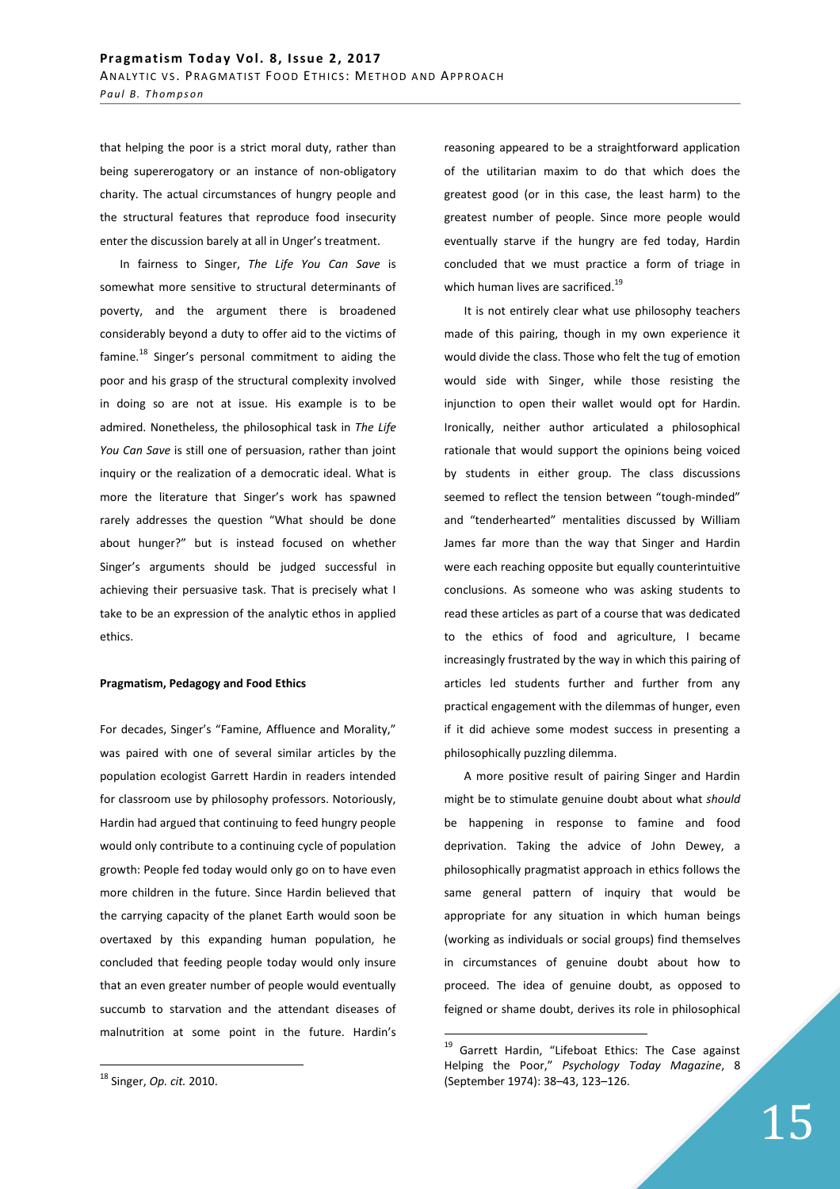that helping the poor is a strict moral duty, rather than being supererogatory or an instance of non-obligatory charity. The actual circumstances of hungry people and the structural features that reproduce food insecurity enter the discussion barely at all in Unger's treatment.

In fairness to Singer, *The Life You Can Save* is somewhat more sensitive to structural determinants of poverty, and the argument there is broadened considerably beyond a duty to offer aid to the victims of famine.<sup>18</sup> Singer's personal commitment to aiding the poor and his grasp of the structural complexity involved in doing so are not at issue. His example is to be admired. Nonetheless, the philosophical task in *The Life You Can Save* is still one of persuasion, rather than joint inquiry or the realization of a democratic ideal. What is more the literature that Singer's work has spawned rarely addresses the question "What should be done about hunger?" but is instead focused on whether Singer's arguments should be judged successful in achieving their persuasive task. That is precisely what I take to be an expression of the analytic ethos in applied ethics.

### **Pragmatism, Pedagogy and Food Ethics**

For decades, Singer's "Famine, Affluence and Morality," was paired with one of several similar articles by the population ecologist Garrett Hardin in readers intended for classroom use by philosophy professors. Notoriously, Hardin had argued that continuing to feed hungry people would only contribute to a continuing cycle of population growth: People fed today would only go on to have even more children in the future. Since Hardin believed that the carrying capacity of the planet Earth would soon be overtaxed by this expanding human population, he concluded that feeding people today would only insure that an even greater number of people would eventually succumb to starvation and the attendant diseases of malnutrition at some point in the future. Hardin's

 $\overline{a}$ 

reasoning appeared to be a straightforward application of the utilitarian maxim to do that which does the greatest good (or in this case, the least harm) to the greatest number of people. Since more people would eventually starve if the hungry are fed today, Hardin concluded that we must practice a form of triage in which human lives are sacrificed.<sup>19</sup>

It is not entirely clear what use philosophy teachers made of this pairing, though in my own experience it would divide the class. Those who felt the tug of emotion would side with Singer, while those resisting the injunction to open their wallet would opt for Hardin. Ironically, neither author articulated a philosophical rationale that would support the opinions being voiced by students in either group. The class discussions seemed to reflect the tension between "tough-minded" and "tenderhearted" mentalities discussed by William James far more than the way that Singer and Hardin were each reaching opposite but equally counterintuitive conclusions. As someone who was asking students to read these articles as part of a course that was dedicated to the ethics of food and agriculture, I became increasingly frustrated by the way in which this pairing of articles led students further and further from any practical engagement with the dilemmas of hunger, even if it did achieve some modest success in presenting a philosophically puzzling dilemma.

A more positive result of pairing Singer and Hardin might be to stimulate genuine doubt about what *should*  be happening in response to famine and food deprivation. Taking the advice of John Dewey, a philosophically pragmatist approach in ethics follows the same general pattern of inquiry that would be appropriate for any situation in which human beings (working as individuals or social groups) find themselves in circumstances of genuine doubt about how to proceed. The idea of genuine doubt, as opposed to feigned or shame doubt, derives its role in philosophical

<sup>18</sup> Singer, *Op. cit.* 2010.

<sup>&</sup>lt;sup>19</sup> Garrett Hardin, "Lifeboat Ethics: The Case against Helping the Poor," *Psychology Today Magazine*, 8 (September 1974): 38–43, 123–126.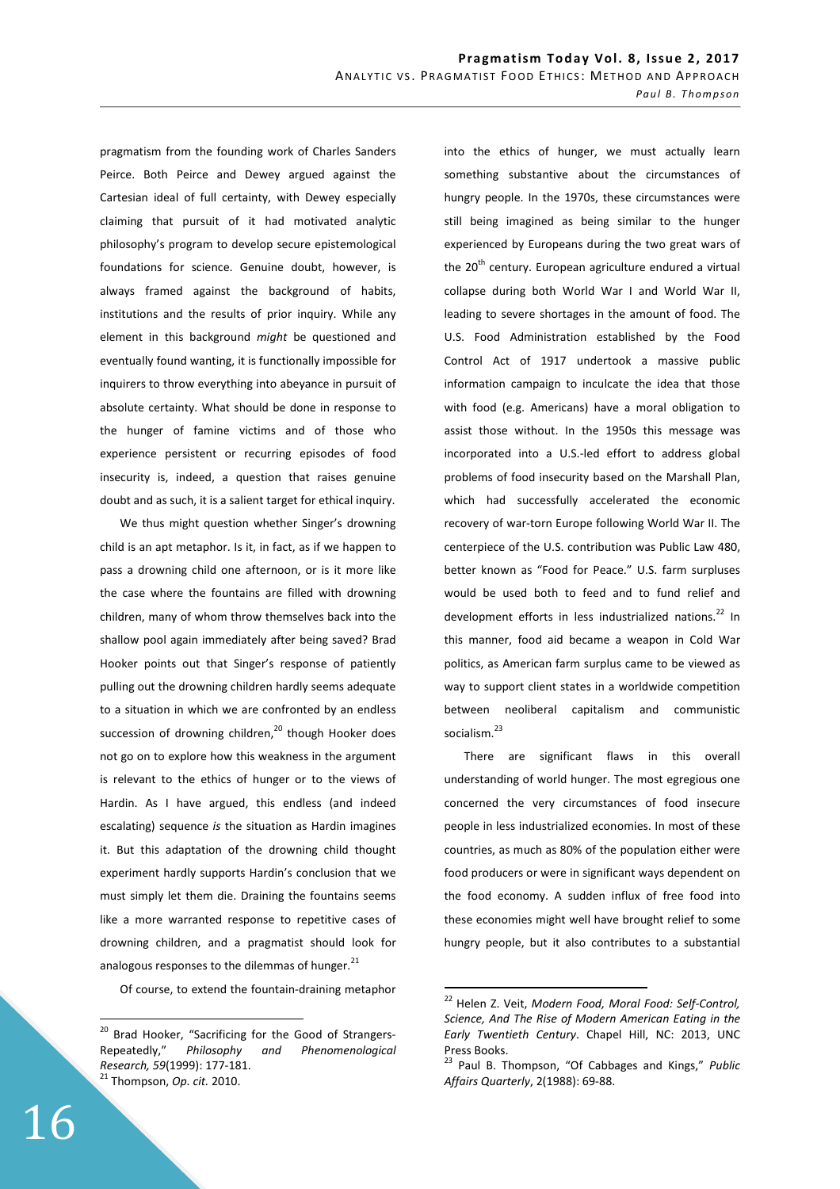pragmatism from the founding work of Charles Sanders Peirce. Both Peirce and Dewey argued against the Cartesian ideal of full certainty, with Dewey especially claiming that pursuit of it had motivated analytic philosophy's program to develop secure epistemological foundations for science. Genuine doubt, however, is always framed against the background of habits, institutions and the results of prior inquiry. While any element in this background *might* be questioned and eventually found wanting, it is functionally impossible for inquirers to throw everything into abeyance in pursuit of absolute certainty. What should be done in response to the hunger of famine victims and of those who experience persistent or recurring episodes of food insecurity is, indeed, a question that raises genuine doubt and as such, it is a salient target for ethical inquiry.

We thus might question whether Singer's drowning child is an apt metaphor. Is it, in fact, as if we happen to pass a drowning child one afternoon, or is it more like the case where the fountains are filled with drowning children, many of whom throw themselves back into the shallow pool again immediately after being saved? Brad Hooker points out that Singer's response of patiently pulling out the drowning children hardly seems adequate to a situation in which we are confronted by an endless succession of drowning children,<sup>20</sup> though Hooker does not go on to explore how this weakness in the argument is relevant to the ethics of hunger or to the views of Hardin. As I have argued, this endless (and indeed escalating) sequence *is* the situation as Hardin imagines it. But this adaptation of the drowning child thought experiment hardly supports Hardin's conclusion that we must simply let them die. Draining the fountains seems like a more warranted response to repetitive cases of drowning children, and a pragmatist should look for analogous responses to the dilemmas of hunger. $^{21}$ 

Of course, to extend the fountain-draining metaphor

into the ethics of hunger, we must actually learn something substantive about the circumstances of hungry people. In the 1970s, these circumstances were still being imagined as being similar to the hunger experienced by Europeans during the two great wars of the 20<sup>th</sup> century. European agriculture endured a virtual collapse during both World War I and World War II, leading to severe shortages in the amount of food. The U.S. Food Administration established by the Food Control Act of 1917 undertook a massive public information campaign to inculcate the idea that those with food (e.g. Americans) have a moral obligation to assist those without. In the 1950s this message was incorporated into a U.S.-led effort to address global problems of food insecurity based on the Marshall Plan, which had successfully accelerated the economic recovery of war-torn Europe following World War II. The centerpiece of the U.S. contribution was Public Law 480, better known as "Food for Peace." U.S. farm surpluses would be used both to feed and to fund relief and development efforts in less industrialized nations. $^{22}$  In this manner, food aid became a weapon in Cold War politics, as American farm surplus came to be viewed as way to support client states in a worldwide competition between neoliberal capitalism and communistic socialism. 23

There are significant flaws in this overall understanding of world hunger. The most egregious one concerned the very circumstances of food insecure people in less industrialized economies. In most of these countries, as much as 80% of the population either were food producers or were in significant ways dependent on the food economy. A sudden influx of free food into these economies might well have brought relief to some hungry people, but it also contributes to a substantial

 $\overline{a}$ 

<sup>&</sup>lt;sup>20</sup> Brad Hooker, "Sacrificing for the Good of Strangers-Repeatedly," *Philosophy and Phenomenological Research, 59*(1999): 177-181. <sup>21</sup> Thompson, *Op. cit.* 2010.

<sup>22</sup> Helen Z. Veit, *Modern Food, Moral Food: Self-Control, Science, And The Rise of Modern American Eating in the Early Twentieth Century*. Chapel Hill, NC: 2013, UNC Press Books.

<sup>23</sup> Paul B. Thompson, "Of Cabbages and Kings," *Public Affairs Quarterly*, 2(1988): 69-88.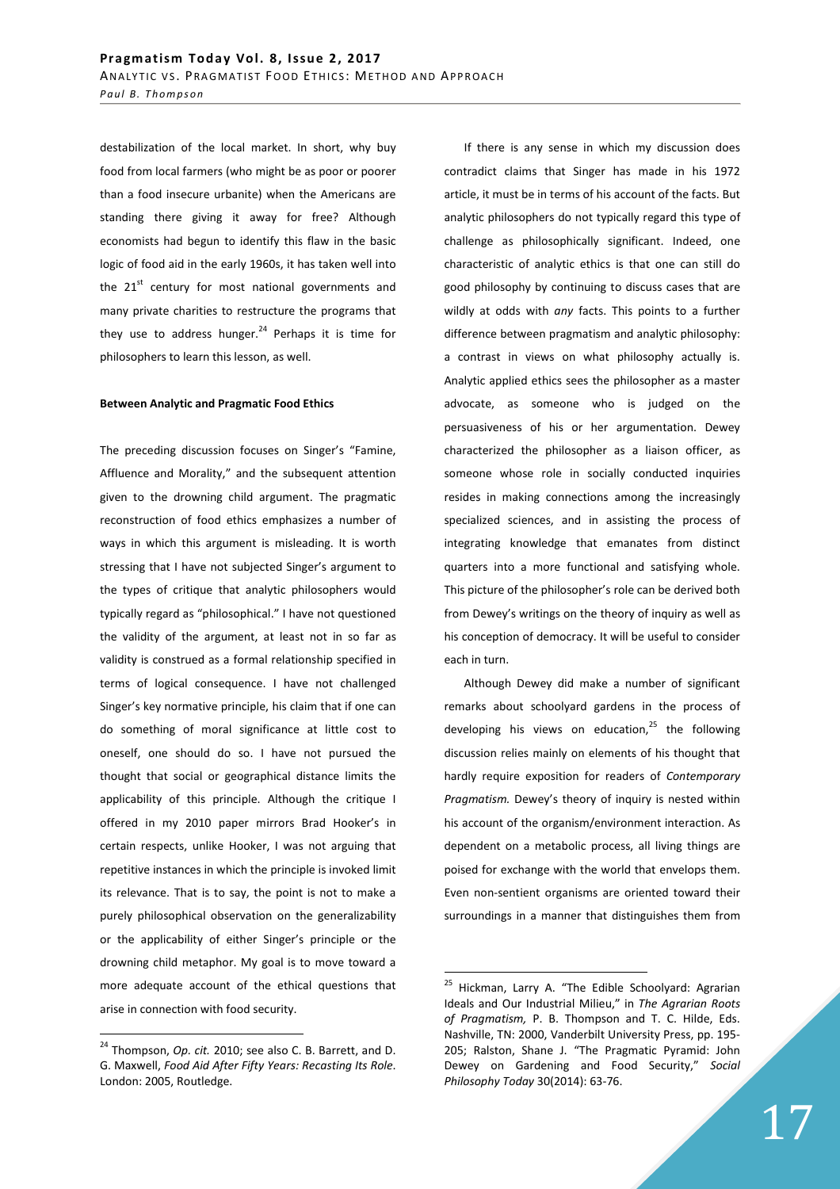destabilization of the local market. In short, why buy food from local farmers (who might be as poor or poorer than a food insecure urbanite) when the Americans are standing there giving it away for free? Although economists had begun to identify this flaw in the basic logic of food aid in the early 1960s, it has taken well into the  $21^{st}$  century for most national governments and many private charities to restructure the programs that they use to address hunger. $24$  Perhaps it is time for philosophers to learn this lesson, as well.

#### **Between Analytic and Pragmatic Food Ethics**

The preceding discussion focuses on Singer's "Famine, Affluence and Morality," and the subsequent attention given to the drowning child argument. The pragmatic reconstruction of food ethics emphasizes a number of ways in which this argument is misleading. It is worth stressing that I have not subjected Singer's argument to the types of critique that analytic philosophers would typically regard as "philosophical." I have not questioned the validity of the argument, at least not in so far as validity is construed as a formal relationship specified in terms of logical consequence. I have not challenged Singer's key normative principle, his claim that if one can do something of moral significance at little cost to oneself, one should do so. I have not pursued the thought that social or geographical distance limits the applicability of this principle. Although the critique I offered in my 2010 paper mirrors Brad Hooker's in certain respects, unlike Hooker, I was not arguing that repetitive instances in which the principle is invoked limit its relevance. That is to say, the point is not to make a purely philosophical observation on the generalizability or the applicability of either Singer's principle or the drowning child metaphor. My goal is to move toward a more adequate account of the ethical questions that arise in connection with food security.

 $\overline{a}$ 

If there is any sense in which my discussion does contradict claims that Singer has made in his 1972 article, it must be in terms of his account of the facts. But analytic philosophers do not typically regard this type of challenge as philosophically significant. Indeed, one characteristic of analytic ethics is that one can still do good philosophy by continuing to discuss cases that are wildly at odds with *any* facts. This points to a further difference between pragmatism and analytic philosophy: a contrast in views on what philosophy actually is. Analytic applied ethics sees the philosopher as a master advocate, as someone who is judged on the persuasiveness of his or her argumentation. Dewey characterized the philosopher as a liaison officer, as someone whose role in socially conducted inquiries resides in making connections among the increasingly specialized sciences, and in assisting the process of integrating knowledge that emanates from distinct quarters into a more functional and satisfying whole. This picture of the philosopher's role can be derived both from Dewey's writings on the theory of inquiry as well as his conception of democracy. It will be useful to consider each in turn.

Although Dewey did make a number of significant remarks about schoolyard gardens in the process of developing his views on education, $^{25}$  the following discussion relies mainly on elements of his thought that hardly require exposition for readers of *Contemporary Pragmatism.* Dewey's theory of inquiry is nested within his account of the organism/environment interaction. As dependent on a metabolic process, all living things are poised for exchange with the world that envelops them. Even non-sentient organisms are oriented toward their surroundings in a manner that distinguishes them from

<sup>24</sup> Thompson, *Op. cit.* 2010; see also C. B. Barrett, and D. G. Maxwell, *Food Aid After Fifty Years: Recasting Its Role*. London: 2005, Routledge.

<sup>&</sup>lt;sup>25</sup> Hickman, Larry A. "The Edible Schoolyard: Agrarian Ideals and Our Industrial Milieu," in *The Agrarian Roots of Pragmatism,* P. B. Thompson and T. C. Hilde, Eds. Nashville, TN: 2000, Vanderbilt University Press, pp. 195- 205; Ralston, Shane J. "The Pragmatic Pyramid: John Dewey on Gardening and Food Security," *Social Philosophy Today* 30(2014): 63-76.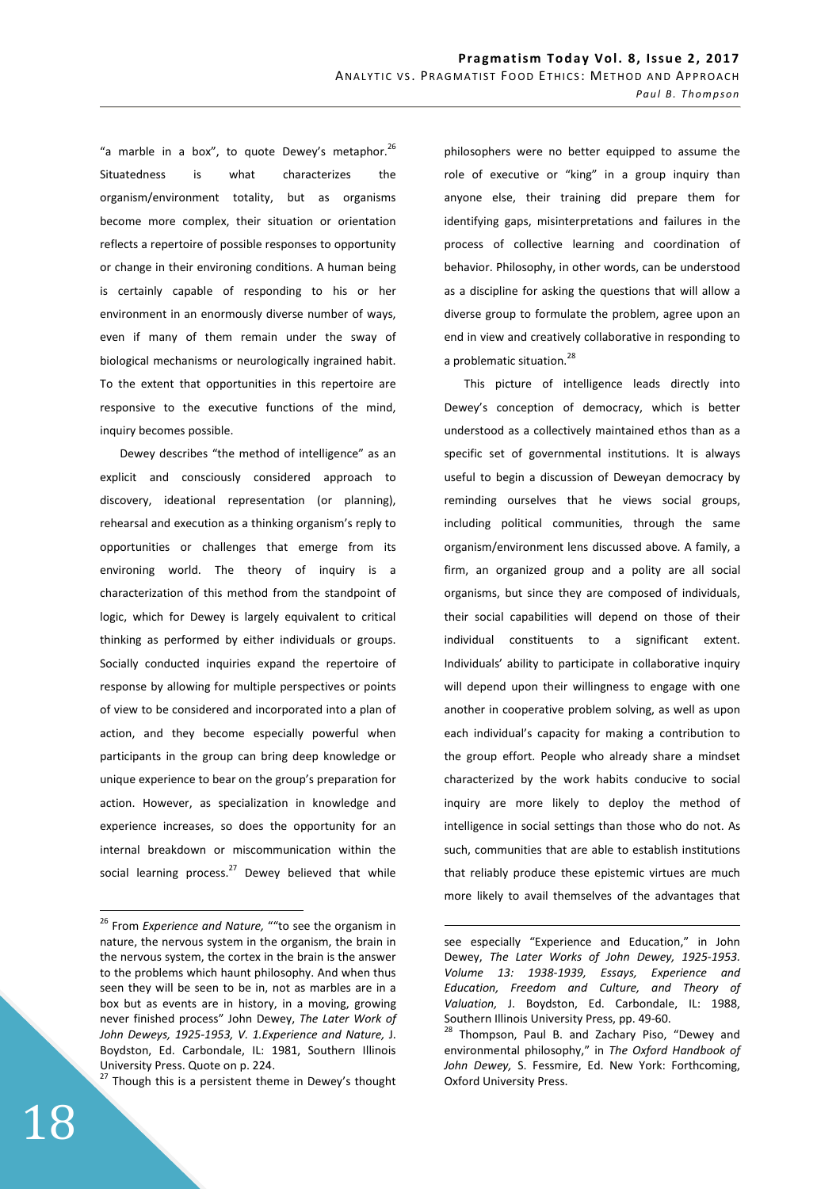"a marble in a box", to quote Dewey's metaphor. $^{26}$ Situatedness is what characterizes the organism/environment totality, but as organisms become more complex, their situation or orientation reflects a repertoire of possible responses to opportunity or change in their environing conditions. A human being is certainly capable of responding to his or her environment in an enormously diverse number of ways, even if many of them remain under the sway of biological mechanisms or neurologically ingrained habit. To the extent that opportunities in this repertoire are responsive to the executive functions of the mind, inquiry becomes possible.

Dewey describes "the method of intelligence" as an explicit and consciously considered approach to discovery, ideational representation (or planning), rehearsal and execution as a thinking organism's reply to opportunities or challenges that emerge from its environing world. The theory of inquiry is a characterization of this method from the standpoint of logic, which for Dewey is largely equivalent to critical thinking as performed by either individuals or groups. Socially conducted inquiries expand the repertoire of response by allowing for multiple perspectives or points of view to be considered and incorporated into a plan of action, and they become especially powerful when participants in the group can bring deep knowledge or unique experience to bear on the group's preparation for action. However, as specialization in knowledge and experience increases, so does the opportunity for an internal breakdown or miscommunication within the social learning process. $^{27}$  Dewey believed that while

 $27$  Though this is a persistent theme in Dewey's thought

philosophers were no better equipped to assume the role of executive or "king" in a group inquiry than anyone else, their training did prepare them for identifying gaps, misinterpretations and failures in the process of collective learning and coordination of behavior. Philosophy, in other words, can be understood as a discipline for asking the questions that will allow a diverse group to formulate the problem, agree upon an end in view and creatively collaborative in responding to a problematic situation.<sup>28</sup>

This picture of intelligence leads directly into Dewey's conception of democracy, which is better understood as a collectively maintained ethos than as a specific set of governmental institutions. It is always useful to begin a discussion of Deweyan democracy by reminding ourselves that he views social groups, including political communities, through the same organism/environment lens discussed above. A family, a firm, an organized group and a polity are all social organisms, but since they are composed of individuals, their social capabilities will depend on those of their individual constituents to a significant extent. Individuals' ability to participate in collaborative inquiry will depend upon their willingness to engage with one another in cooperative problem solving, as well as upon each individual's capacity for making a contribution to the group effort. People who already share a mindset characterized by the work habits conducive to social inquiry are more likely to deploy the method of intelligence in social settings than those who do not. As such, communities that are able to establish institutions that reliably produce these epistemic virtues are much more likely to avail themselves of the advantages that

 $\overline{a}$ 

<sup>26</sup> From *Experience and Nature,* ""to see the organism in nature, the nervous system in the organism, the brain in the nervous system, the cortex in the brain is the answer to the problems which haunt philosophy. And when thus seen they will be seen to be in, not as marbles are in a box but as events are in history, in a moving, growing never finished process" John Dewey, *The Later Work of John Deweys, 1925-1953, V. 1.Experience and Nature,* J. Boydston, Ed. Carbondale, IL: 1981, Southern Illinois University Press. Quote on p. 224.

see especially "Experience and Education," in John Dewey, *The Later Works of John Dewey, 1925-1953. Volume 13: 1938-1939, Essays, Experience and Education, Freedom and Culture, and Theory of Valuation,* J. Boydston, Ed. Carbondale, IL: 1988, Southern Illinois University Press, pp. 49-60.

Thompson, Paul B. and Zachary Piso, "Dewey and environmental philosophy," in *The Oxford Handbook of John Dewey,* S. Fessmire, Ed. New York: Forthcoming, Oxford University Press.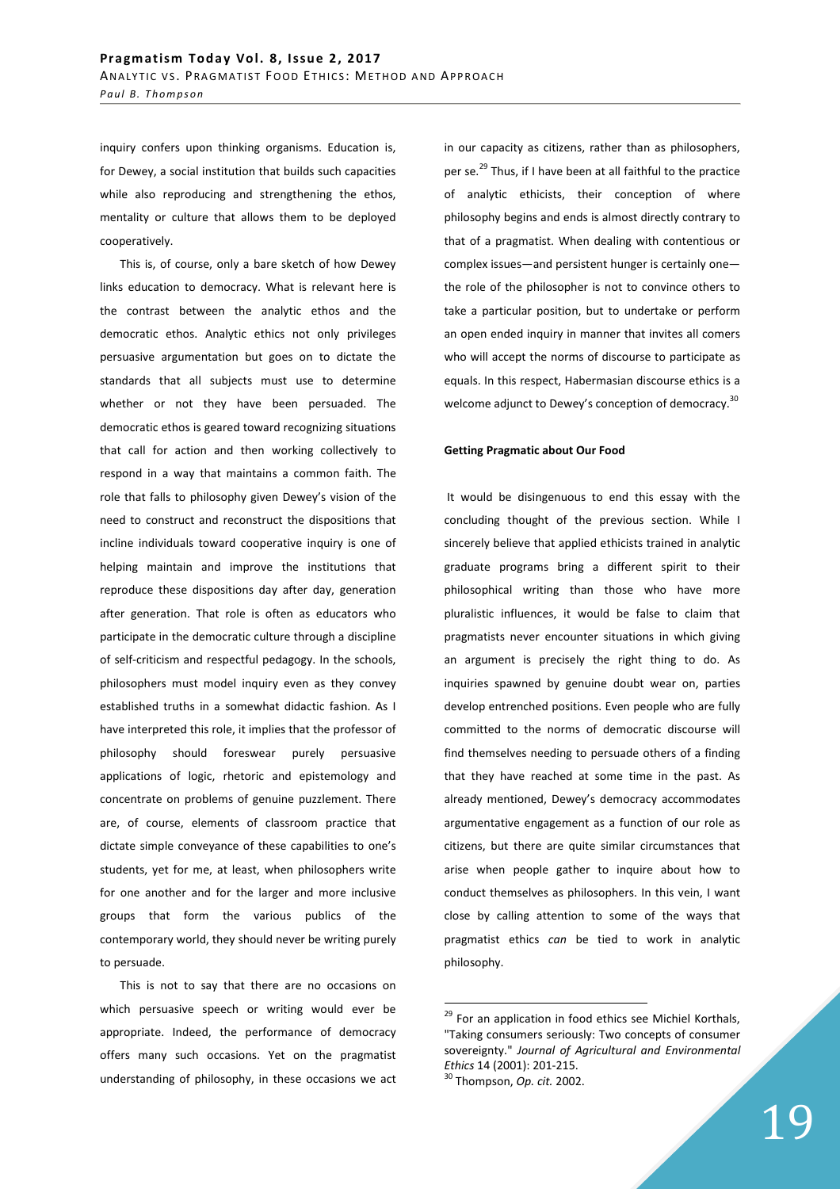inquiry confers upon thinking organisms. Education is, for Dewey, a social institution that builds such capacities while also reproducing and strengthening the ethos, mentality or culture that allows them to be deployed cooperatively.

This is, of course, only a bare sketch of how Dewey links education to democracy. What is relevant here is the contrast between the analytic ethos and the democratic ethos. Analytic ethics not only privileges persuasive argumentation but goes on to dictate the standards that all subjects must use to determine whether or not they have been persuaded. The democratic ethos is geared toward recognizing situations that call for action and then working collectively to respond in a way that maintains a common faith. The role that falls to philosophy given Dewey's vision of the need to construct and reconstruct the dispositions that incline individuals toward cooperative inquiry is one of helping maintain and improve the institutions that reproduce these dispositions day after day, generation after generation. That role is often as educators who participate in the democratic culture through a discipline of self-criticism and respectful pedagogy. In the schools, philosophers must model inquiry even as they convey established truths in a somewhat didactic fashion. As I have interpreted this role, it implies that the professor of philosophy should foreswear purely persuasive applications of logic, rhetoric and epistemology and concentrate on problems of genuine puzzlement. There are, of course, elements of classroom practice that dictate simple conveyance of these capabilities to one's students, yet for me, at least, when philosophers write for one another and for the larger and more inclusive groups that form the various publics of the contemporary world, they should never be writing purely to persuade.

This is not to say that there are no occasions on which persuasive speech or writing would ever be appropriate. Indeed, the performance of democracy offers many such occasions. Yet on the pragmatist understanding of philosophy, in these occasions we act in our capacity as citizens, rather than as philosophers, per se.<sup>29</sup> Thus, if I have been at all faithful to the practice of analytic ethicists, their conception of where philosophy begins and ends is almost directly contrary to that of a pragmatist. When dealing with contentious or complex issues—and persistent hunger is certainly one the role of the philosopher is not to convince others to take a particular position, but to undertake or perform an open ended inquiry in manner that invites all comers who will accept the norms of discourse to participate as equals. In this respect, Habermasian discourse ethics is a welcome adjunct to Dewey's conception of democracy. $^{30}$ 

#### **Getting Pragmatic about Our Food**

 It would be disingenuous to end this essay with the concluding thought of the previous section. While I sincerely believe that applied ethicists trained in analytic graduate programs bring a different spirit to their philosophical writing than those who have more pluralistic influences, it would be false to claim that pragmatists never encounter situations in which giving an argument is precisely the right thing to do. As inquiries spawned by genuine doubt wear on, parties develop entrenched positions. Even people who are fully committed to the norms of democratic discourse will find themselves needing to persuade others of a finding that they have reached at some time in the past. As already mentioned, Dewey's democracy accommodates argumentative engagement as a function of our role as citizens, but there are quite similar circumstances that arise when people gather to inquire about how to conduct themselves as philosophers. In this vein, I want close by calling attention to some of the ways that pragmatist ethics *can* be tied to work in analytic philosophy.

<sup>30</sup> Thompson, *Op. cit.* 2002.

<sup>&</sup>lt;sup>29</sup> For an application in food ethics see Michiel Korthals, "Taking consumers seriously: Two concepts of consumer sovereignty." *Journal of Agricultural and Environmental Ethics* 14 (2001): 201-215.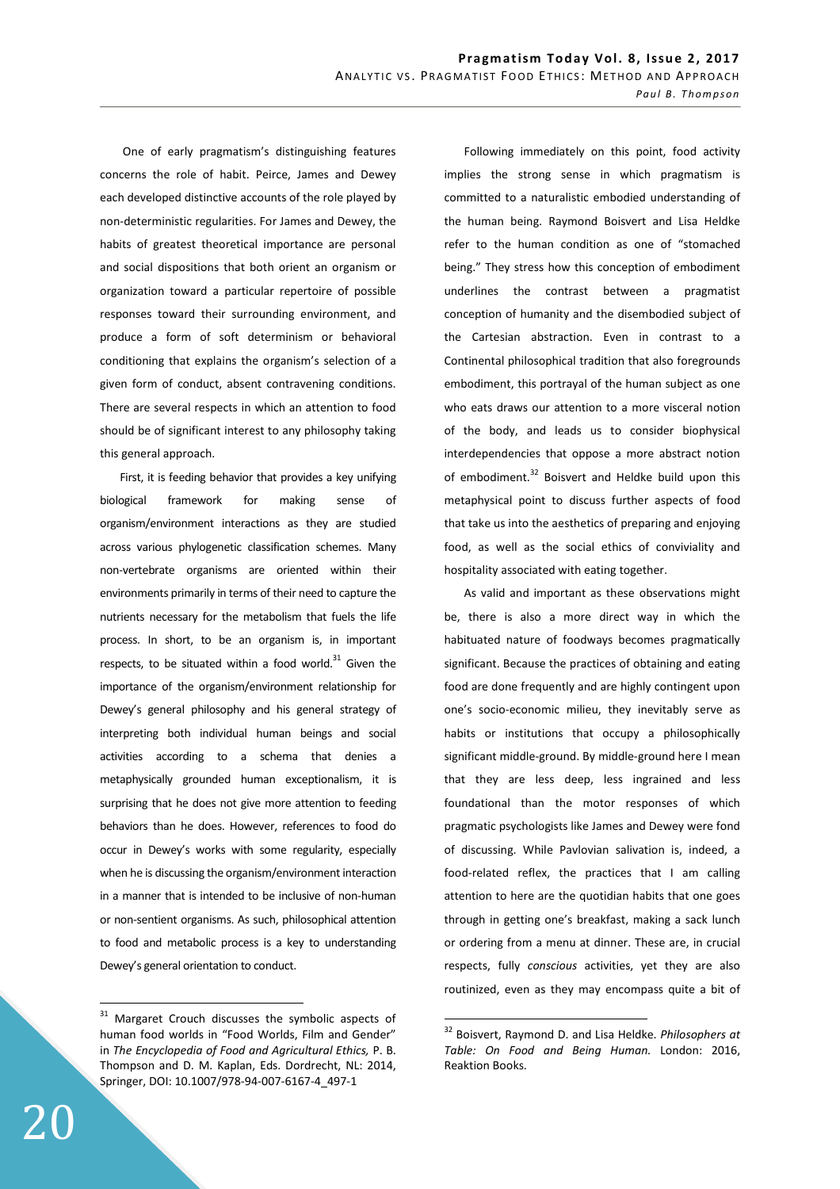One of early pragmatism's distinguishing features concerns the role of habit. Peirce, James and Dewey each developed distinctive accounts of the role played by non-deterministic regularities. For James and Dewey, the habits of greatest theoretical importance are personal and social dispositions that both orient an organism or organization toward a particular repertoire of possible responses toward their surrounding environment, and produce a form of soft determinism or behavioral conditioning that explains the organism's selection of a given form of conduct, absent contravening conditions. There are several respects in which an attention to food should be of significant interest to any philosophy taking this general approach.

First, it is feeding behavior that provides a key unifying biological framework for making sense of organism/environment interactions as they are studied across various phylogenetic classification schemes. Many non-vertebrate organisms are oriented within their environments primarily in terms of their need to capture the nutrients necessary for the metabolism that fuels the life process. In short, to be an organism is, in important respects, to be situated within a food world. $31$  Given the importance of the organism/environment relationship for Dewey's general philosophy and his general strategy of interpreting both individual human beings and social activities according to a schema that denies a metaphysically grounded human exceptionalism, it is surprising that he does not give more attention to feeding behaviors than he does. However, references to food do occur in Dewey's works with some regularity, especially when he is discussing the organism/environment interaction in a manner that is intended to be inclusive of non-human or non-sentient organisms. As such, philosophical attention to food and metabolic process is a key to understanding Dewey's general orientation to conduct.

20

 $\overline{a}$ 

Following immediately on this point, food activity implies the strong sense in which pragmatism is committed to a naturalistic embodied understanding of the human being. Raymond Boisvert and Lisa Heldke refer to the human condition as one of "stomached being." They stress how this conception of embodiment underlines the contrast between a pragmatist conception of humanity and the disembodied subject of the Cartesian abstraction. Even in contrast to a Continental philosophical tradition that also foregrounds embodiment, this portrayal of the human subject as one who eats draws our attention to a more visceral notion of the body, and leads us to consider biophysical interdependencies that oppose a more abstract notion of embodiment.<sup>32</sup> Boisvert and Heldke build upon this metaphysical point to discuss further aspects of food that take us into the aesthetics of preparing and enjoying food, as well as the social ethics of conviviality and hospitality associated with eating together.

As valid and important as these observations might be, there is also a more direct way in which the habituated nature of foodways becomes pragmatically significant. Because the practices of obtaining and eating food are done frequently and are highly contingent upon one's socio-economic milieu, they inevitably serve as habits or institutions that occupy a philosophically significant middle-ground. By middle-ground here I mean that they are less deep, less ingrained and less foundational than the motor responses of which pragmatic psychologists like James and Dewey were fond of discussing. While Pavlovian salivation is, indeed, a food-related reflex, the practices that I am calling attention to here are the quotidian habits that one goes through in getting one's breakfast, making a sack lunch or ordering from a menu at dinner. These are, in crucial respects, fully *conscious* activities, yet they are also routinized, even as they may encompass quite a bit of

<sup>&</sup>lt;sup>31</sup> Margaret Crouch discusses the symbolic aspects of human food worlds in "Food Worlds, Film and Gender" in *The Encyclopedia of Food and Agricultural Ethics,* P. B. Thompson and D. M. Kaplan, Eds. Dordrecht, NL: 2014, Springer, DOI: 10.1007/978-94-007-6167-4\_497-1

<sup>32</sup> Boisvert, Raymond D. and Lisa Heldke. *Philosophers at Table: On Food and Being Human.* London: 2016, Reaktion Books.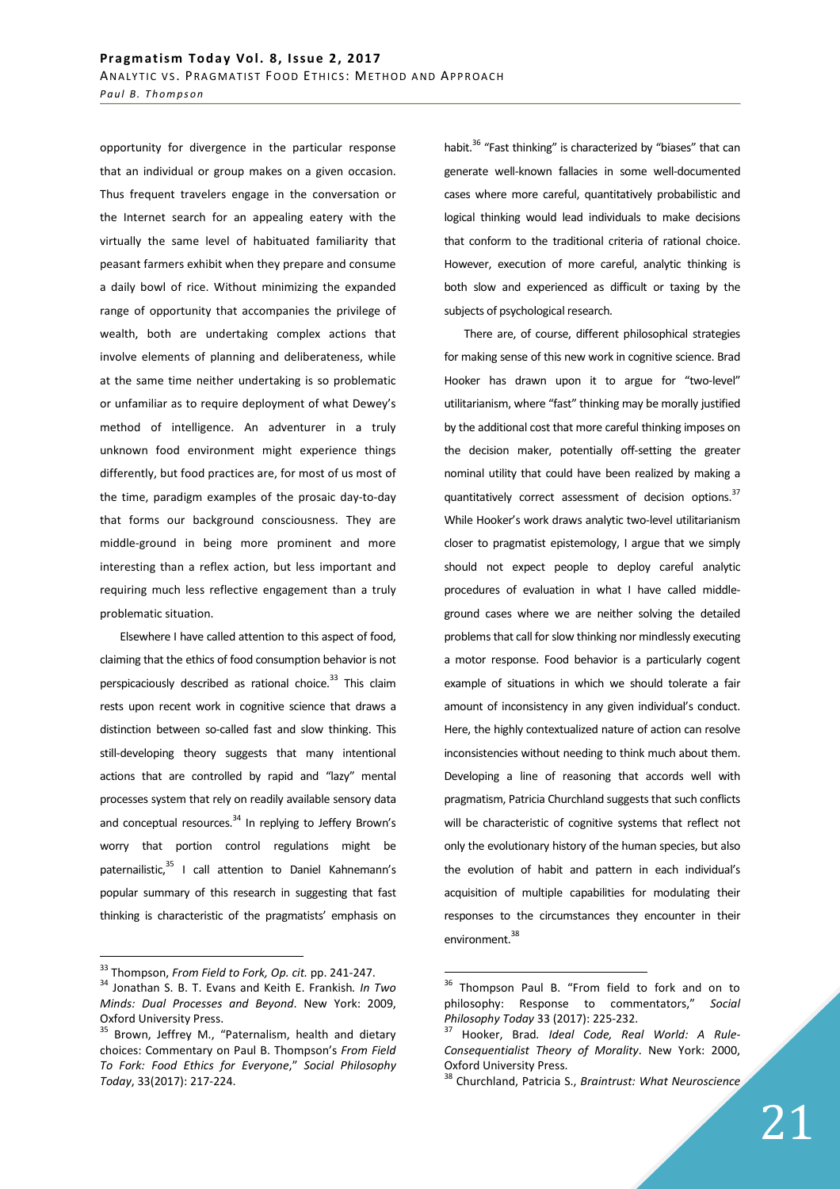opportunity for divergence in the particular response that an individual or group makes on a given occasion. Thus frequent travelers engage in the conversation or the Internet search for an appealing eatery with the virtually the same level of habituated familiarity that peasant farmers exhibit when they prepare and consume a daily bowl of rice. Without minimizing the expanded range of opportunity that accompanies the privilege of wealth, both are undertaking complex actions that involve elements of planning and deliberateness, while at the same time neither undertaking is so problematic or unfamiliar as to require deployment of what Dewey's method of intelligence. An adventurer in a truly unknown food environment might experience things differently, but food practices are, for most of us most of the time, paradigm examples of the prosaic day-to-day that forms our background consciousness. They are middle-ground in being more prominent and more interesting than a reflex action, but less important and requiring much less reflective engagement than a truly problematic situation.

Elsewhere I have called attention to this aspect of food, claiming that the ethics of food consumption behavior is not perspicaciously described as rational choice. $33$  This claim rests upon recent work in cognitive science that draws a distinction between so-called fast and slow thinking. This still-developing theory suggests that many intentional actions that are controlled by rapid and "lazy" mental processes system that rely on readily available sensory data and conceptual resources.<sup>34</sup> In replying to Jeffery Brown's worry that portion control regulations might be paternailistic,<sup>35</sup> I call attention to Daniel Kahnemann's popular summary of this research in suggesting that fast thinking is characteristic of the pragmatists' emphasis on

 $\overline{a}$ 

habit.<sup>36</sup> "Fast thinking" is characterized by "biases" that can generate well-known fallacies in some well-documented cases where more careful, quantitatively probabilistic and logical thinking would lead individuals to make decisions that conform to the traditional criteria of rational choice. However, execution of more careful, analytic thinking is both slow and experienced as difficult or taxing by the subjects of psychological research.

There are, of course, different philosophical strategies for making sense of this new work in cognitive science. Brad Hooker has drawn upon it to argue for "two-level" utilitarianism, where "fast" thinking may be morally justified by the additional cost that more careful thinking imposes on the decision maker, potentially off-setting the greater nominal utility that could have been realized by making a quantitatively correct assessment of decision options.<sup>37</sup> While Hooker's work draws analytic two-level utilitarianism closer to pragmatist epistemology, I argue that we simply should not expect people to deploy careful analytic procedures of evaluation in what I have called middleground cases where we are neither solving the detailed problems that call for slow thinking nor mindlessly executing a motor response. Food behavior is a particularly cogent example of situations in which we should tolerate a fair amount of inconsistency in any given individual's conduct. Here, the highly contextualized nature of action can resolve inconsistencies without needing to think much about them. Developing a line of reasoning that accords well with pragmatism, Patricia Churchland suggests that such conflicts will be characteristic of cognitive systems that reflect not only the evolutionary history of the human species, but also the evolution of habit and pattern in each individual's acquisition of multiple capabilities for modulating their responses to the circumstances they encounter in their environment.<sup>38</sup>

<sup>33</sup> Thompson, *From Field to Fork, Op. cit.* pp. 241-247.

<sup>34</sup> Jonathan S. B. T. Evans and Keith E. Frankish*. In Two Minds: Dual Processes and Beyond*. New York: 2009, Oxford University Press.

Brown, Jeffrey M., "Paternalism, health and dietary choices: Commentary on Paul B. Thompson's *From Field To Fork: Food Ethics for Everyone*," *Social Philosophy Today*, 33(2017): 217-224.

<sup>&</sup>lt;sup>36</sup> Thompson Paul B. "From field to fork and on to philosophy: Response to commentators," *Social Philosophy Today* 33 (2017): 225-232.

<sup>37</sup> Hooker, Brad*. Ideal Code, Real World: A Rule-Consequentialist Theory of Morality*. New York: 2000, Oxford University Press.

<sup>38</sup> Churchland, Patricia S., *Braintrust: What Neuroscience*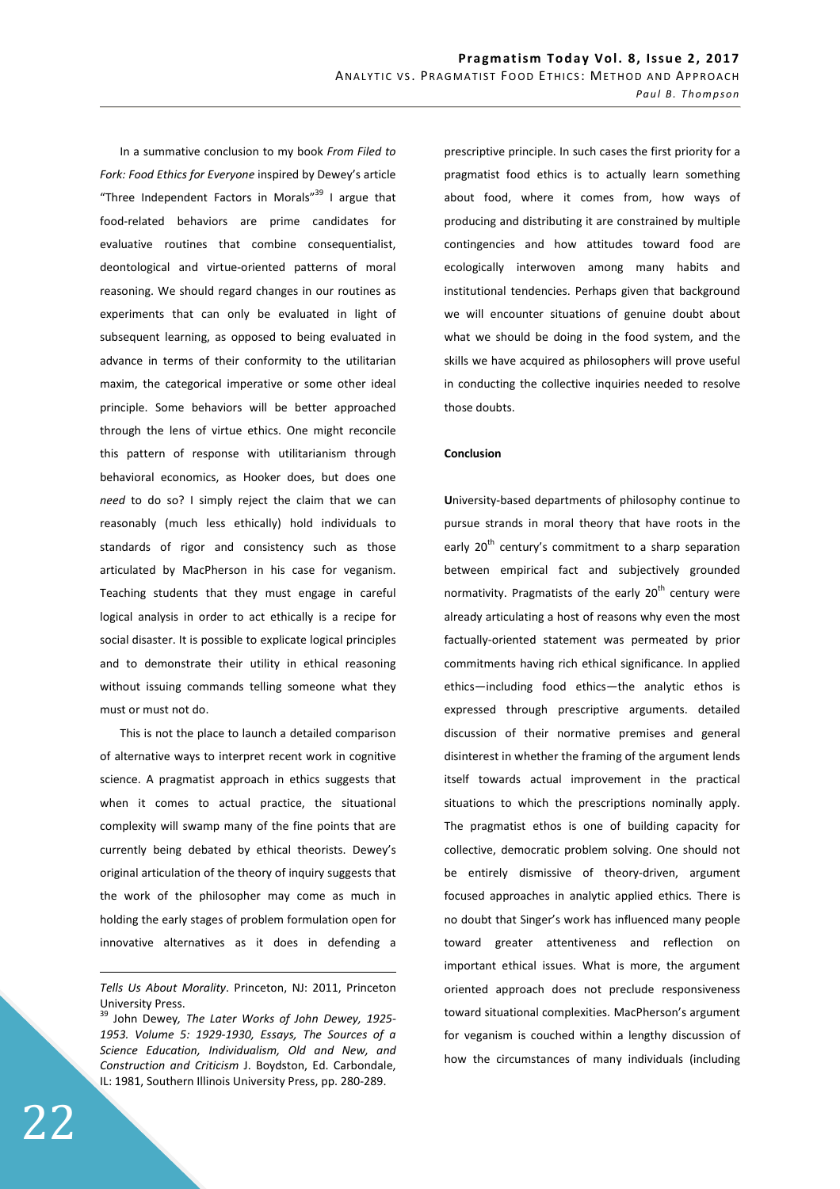In a summative conclusion to my book *From Filed to Fork: Food Ethics for Everyone* inspired by Dewey's article "Three Independent Factors in Morals" I argue that food-related behaviors are prime candidates for evaluative routines that combine consequentialist, deontological and virtue-oriented patterns of moral reasoning. We should regard changes in our routines as experiments that can only be evaluated in light of subsequent learning, as opposed to being evaluated in advance in terms of their conformity to the utilitarian maxim, the categorical imperative or some other ideal principle. Some behaviors will be better approached through the lens of virtue ethics. One might reconcile this pattern of response with utilitarianism through behavioral economics, as Hooker does, but does one *need* to do so? I simply reject the claim that we can reasonably (much less ethically) hold individuals to standards of rigor and consistency such as those articulated by MacPherson in his case for veganism. Teaching students that they must engage in careful logical analysis in order to act ethically is a recipe for social disaster. It is possible to explicate logical principles and to demonstrate their utility in ethical reasoning without issuing commands telling someone what they must or must not do.

This is not the place to launch a detailed comparison of alternative ways to interpret recent work in cognitive science. A pragmatist approach in ethics suggests that when it comes to actual practice, the situational complexity will swamp many of the fine points that are currently being debated by ethical theorists. Dewey's original articulation of the theory of inquiry suggests that the work of the philosopher may come as much in holding the early stages of problem formulation open for innovative alternatives as it does in defending a

prescriptive principle. In such cases the first priority for a pragmatist food ethics is to actually learn something about food, where it comes from, how ways of producing and distributing it are constrained by multiple contingencies and how attitudes toward food are ecologically interwoven among many habits and institutional tendencies. Perhaps given that background we will encounter situations of genuine doubt about what we should be doing in the food system, and the skills we have acquired as philosophers will prove useful in conducting the collective inquiries needed to resolve those doubts.

### **Conclusion**

**U**niversity-based departments of philosophy continue to pursue strands in moral theory that have roots in the early  $20<sup>th</sup>$  century's commitment to a sharp separation between empirical fact and subjectively grounded normativity. Pragmatists of the early  $20<sup>th</sup>$  century were already articulating a host of reasons why even the most factually-oriented statement was permeated by prior commitments having rich ethical significance. In applied ethics—including food ethics—the analytic ethos is expressed through prescriptive arguments. detailed discussion of their normative premises and general disinterest in whether the framing of the argument lends itself towards actual improvement in the practical situations to which the prescriptions nominally apply. The pragmatist ethos is one of building capacity for collective, democratic problem solving. One should not be entirely dismissive of theory-driven, argument focused approaches in analytic applied ethics. There is no doubt that Singer's work has influenced many people toward greater attentiveness and reflection on important ethical issues. What is more, the argument oriented approach does not preclude responsiveness toward situational complexities. MacPherson's argument for veganism is couched within a lengthy discussion of how the circumstances of many individuals (including

<u>.</u>

*Tells Us About Morality*. Princeton, NJ: 2011, Princeton University Press.

<sup>39</sup> John Dewey*, The Later Works of John Dewey, 1925- 1953. Volume 5: 1929-1930, Essays, The Sources of a Science Education, Individualism, Old and New, and Construction and Criticism* J. Boydston, Ed. Carbondale, IL: 1981, Southern Illinois University Press, pp. 280-289.